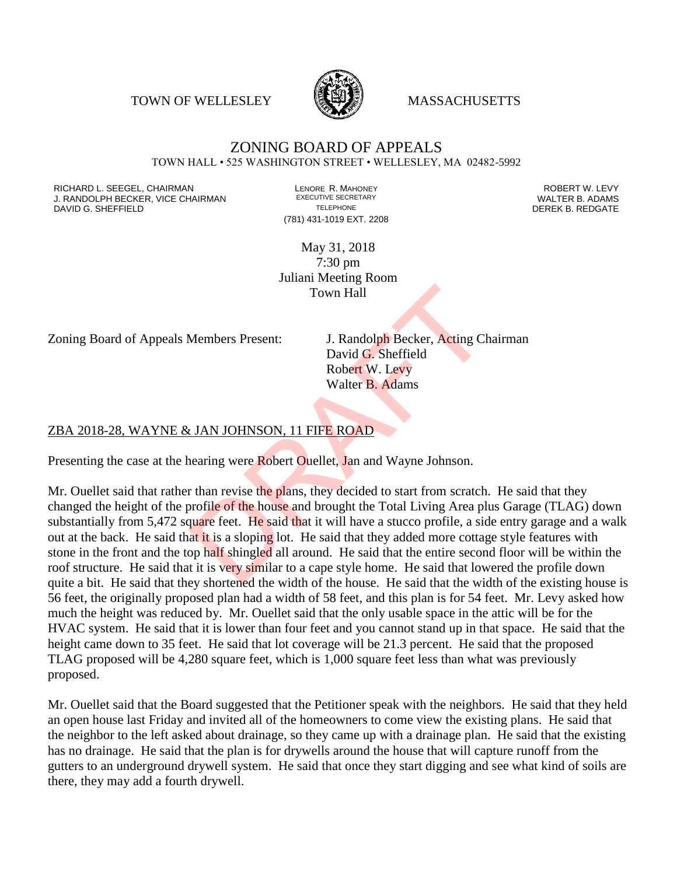TOWN OF WELLESLEY **WASSACHUSETTS** 



## ZONING BOARD OF APPEALS TOWN HALL • 525 WASHINGTON STREET • WELLESLEY, MA 02482-5992

RICHARD L. SEEGEL, CHAIRMAN LENORE R. MAHONEY ROBERT W. LEVY J. RANDOLPH BECKER, VICE CHAIRMAN EXECUTIVE SECRETARY OF TELEPHONE DAVID G. SHEFFIELD **TELEPHONE** TELEPHONE TELEPHONE **TELEPHONE DEREK B. REDGATE** 

(781) 431-1019 EXT. 2208

May 31, 2018 7:30 pm Juliani Meeting Room Town Hall

Zoning Board of Appeals Members Present: J. Randolph Becker, Acting Chairman

David G. Sheffield Robert W. Levy Walter B. Adams

## ZBA 2018-28, WAYNE & JAN JOHNSON, 11 FIFE ROAD

Presenting the case at the hearing were Robert Ouellet, Jan and Wayne Johnson.

Mr. Ouellet said that rather than revise the plans, they decided to start from scratch. He said that they changed the height of the profile of the house and brought the Total Living Area plus Garage (TLAG) down substantially from 5,472 square feet. He said that it will have a stucco profile, a side entry garage and a walk out at the back. He said that it is a sloping lot. He said that they added more cottage style features with stone in the front and the top half shingled all around. He said that the entire second floor will be within the roof structure. He said that it is very similar to a cape style home. He said that lowered the profile down quite a bit. He said that they shortened the width of the house. He said that the width of the existing house is 56 feet, the originally proposed plan had a width of 58 feet, and this plan is for 54 feet. Mr. Levy asked how much the height was reduced by. Mr. Ouellet said that the only usable space in the attic will be for the HVAC system. He said that it is lower than four feet and you cannot stand up in that space. He said that the height came down to 35 feet. He said that lot coverage will be 21.3 percent. He said that the proposed TLAG proposed will be 4,280 square feet, which is 1,000 square feet less than what was previously proposed. Town Hall<br>
Members Present: J. Randolph Becker, Acting Ch<br>
David G. Sheffield<br>
Robert W. Levy<br>
Walter B. Adams<br>
LAN JOHNSON, 11 FIFE ROAD<br>
Rearing were Robert Ouellet, Jan and Wayne Johnson.<br>
Than revise the plans, they de

Mr. Ouellet said that the Board suggested that the Petitioner speak with the neighbors. He said that they held an open house last Friday and invited all of the homeowners to come view the existing plans. He said that the neighbor to the left asked about drainage, so they came up with a drainage plan. He said that the existing has no drainage. He said that the plan is for drywells around the house that will capture runoff from the gutters to an underground drywell system. He said that once they start digging and see what kind of soils are there, they may add a fourth drywell.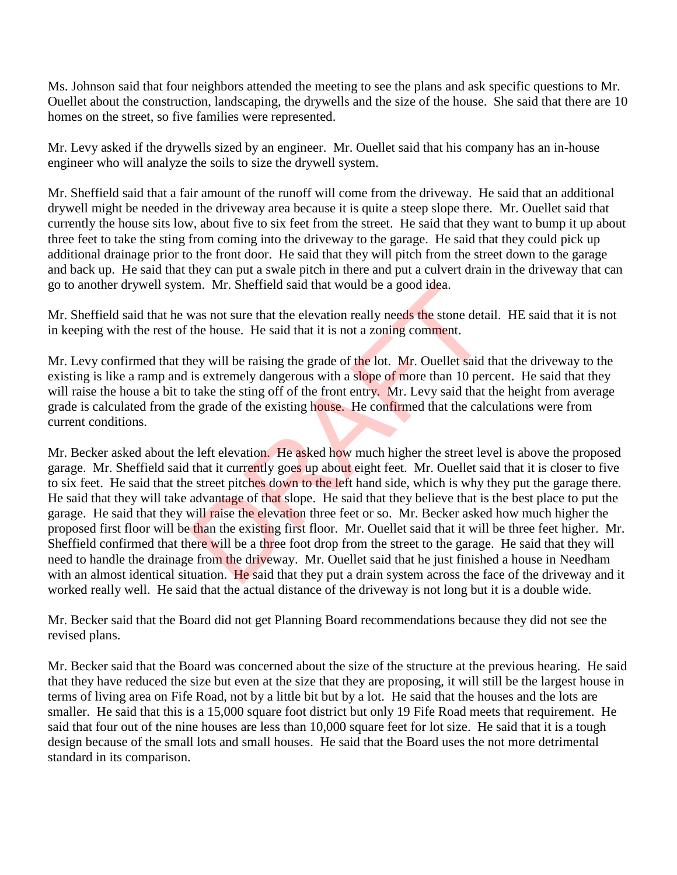Ms. Johnson said that four neighbors attended the meeting to see the plans and ask specific questions to Mr. Ouellet about the construction, landscaping, the drywells and the size of the house. She said that there are 10 homes on the street, so five families were represented.

Mr. Levy asked if the drywells sized by an engineer. Mr. Ouellet said that his company has an in-house engineer who will analyze the soils to size the drywell system.

Mr. Sheffield said that a fair amount of the runoff will come from the driveway. He said that an additional drywell might be needed in the driveway area because it is quite a steep slope there. Mr. Ouellet said that currently the house sits low, about five to six feet from the street. He said that they want to bump it up about three feet to take the sting from coming into the driveway to the garage. He said that they could pick up additional drainage prior to the front door. He said that they will pitch from the street down to the garage and back up. He said that they can put a swale pitch in there and put a culvert drain in the driveway that can go to another drywell system. Mr. Sheffield said that would be a good idea.

Mr. Sheffield said that he was not sure that the elevation really needs the stone detail. HE said that it is not in keeping with the rest of the house. He said that it is not a zoning comment.

Mr. Levy confirmed that they will be raising the grade of the lot. Mr. Ouellet said that the driveway to the existing is like a ramp and is extremely dangerous with a slope of more than 10 percent. He said that they will raise the house a bit to take the sting off of the front entry. Mr. Levy said that the height from average grade is calculated from the grade of the existing house. He confirmed that the calculations were from current conditions.

Mr. Becker asked about the left elevation. He asked how much higher the street level is above the proposed garage. Mr. Sheffield said that it currently goes up about eight feet. Mr. Ouellet said that it is closer to five to six feet. He said that the street pitches down to the left hand side, which is why they put the garage there. He said that they will take advantage of that slope. He said that they believe that is the best place to put the garage. He said that they will raise the elevation three feet or so. Mr. Becker asked how much higher the proposed first floor will be than the existing first floor. Mr. Ouellet said that it will be three feet higher. Mr. Sheffield confirmed that there will be a three foot drop from the street to the garage. He said that they will need to handle the drainage from the driveway. Mr. Ouellet said that he just finished a house in Needham with an almost identical situation. He said that they put a drain system across the face of the driveway and it worked really well. He said that the actual distance of the driveway is not long but it is a double wide. im. Mr. Sherrield said that would be a good idea.<br>
was not sure that the elevation really needs the stone deta<br>
the house. He said that it is not a zoning comment.<br>
ney will be raising the grade of the lot. Mr. Ouellet sai

Mr. Becker said that the Board did not get Planning Board recommendations because they did not see the revised plans.

Mr. Becker said that the Board was concerned about the size of the structure at the previous hearing. He said that they have reduced the size but even at the size that they are proposing, it will still be the largest house in terms of living area on Fife Road, not by a little bit but by a lot. He said that the houses and the lots are smaller. He said that this is a 15,000 square foot district but only 19 Fife Road meets that requirement. He said that four out of the nine houses are less than 10,000 square feet for lot size. He said that it is a tough design because of the small lots and small houses. He said that the Board uses the not more detrimental standard in its comparison.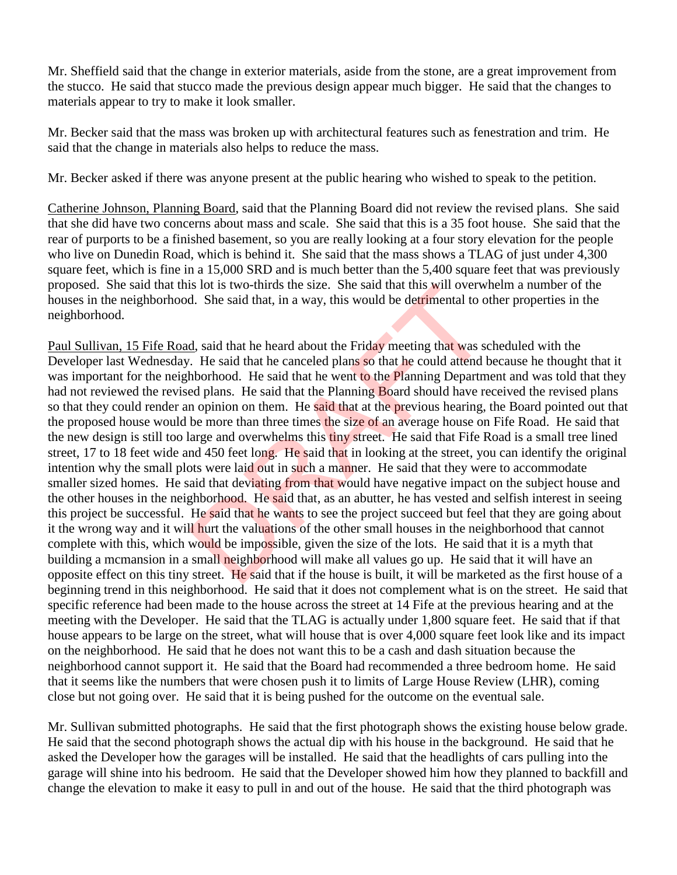Mr. Sheffield said that the change in exterior materials, aside from the stone, are a great improvement from the stucco. He said that stucco made the previous design appear much bigger. He said that the changes to materials appear to try to make it look smaller.

Mr. Becker said that the mass was broken up with architectural features such as fenestration and trim. He said that the change in materials also helps to reduce the mass.

Mr. Becker asked if there was anyone present at the public hearing who wished to speak to the petition.

Catherine Johnson, Planning Board, said that the Planning Board did not review the revised plans. She said that she did have two concerns about mass and scale. She said that this is a 35 foot house. She said that the rear of purports to be a finished basement, so you are really looking at a four story elevation for the people who live on Dunedin Road, which is behind it. She said that the mass shows a TLAG of just under 4,300 square feet, which is fine in a 15,000 SRD and is much better than the 5,400 square feet that was previously proposed. She said that this lot is two-thirds the size. She said that this will overwhelm a number of the houses in the neighborhood. She said that, in a way, this would be detrimental to other properties in the neighborhood.

Paul Sullivan, 15 Fife Road, said that he heard about the Friday meeting that was scheduled with the Developer last Wednesday. He said that he canceled plans so that he could attend because he thought that it was important for the neighborhood. He said that he went to the Planning Department and was told that they had not reviewed the revised plans. He said that the Planning Board should have received the revised plans so that they could render an opinion on them. He said that at the previous hearing, the Board pointed out that the proposed house would be more than three times the size of an average house on Fife Road. He said that the new design is still too large and overwhelms this tiny street. He said that Fife Road is a small tree lined street, 17 to 18 feet wide and 450 feet long. He said that in looking at the street, you can identify the original intention why the small plots were laid out in such a manner. He said that they were to accommodate smaller sized homes. He said that deviating from that would have negative impact on the subject house and the other houses in the neighborhood. He said that, as an abutter, he has vested and selfish interest in seeing this project be successful. He said that he wants to see the project succeed but feel that they are going about it the wrong way and it will hurt the valuations of the other small houses in the neighborhood that cannot complete with this, which would be impossible, given the size of the lots. He said that it is a myth that building a mcmansion in a small neighborhood will make all values go up. He said that it will have an opposite effect on this tiny street. He said that if the house is built, it will be marketed as the first house of a beginning trend in this neighborhood. He said that it does not complement what is on the street. He said that specific reference had been made to the house across the street at 14 Fife at the previous hearing and at the meeting with the Developer. He said that the TLAG is actually under 1,800 square feet. He said that if that house appears to be large on the street, what will house that is over 4,000 square feet look like and its impact on the neighborhood. He said that he does not want this to be a cash and dash situation because the neighborhood cannot support it. He said that the Board had recommended a three bedroom home. He said that it seems like the numbers that were chosen push it to limits of Large House Review (LHR), coming close but not going over. He said that it is being pushed for the outcome on the eventual sale. Is lot is two-thirds the size. She said that this will overwid.<br>She said that, in a way, this would be detrimental to o<br>d. She said that he heard about the Friday meeting that was sc<br>. He said that he canceled plans so tha

Mr. Sullivan submitted photographs. He said that the first photograph shows the existing house below grade. He said that the second photograph shows the actual dip with his house in the background. He said that he asked the Developer how the garages will be installed. He said that the headlights of cars pulling into the garage will shine into his bedroom. He said that the Developer showed him how they planned to backfill and change the elevation to make it easy to pull in and out of the house. He said that the third photograph was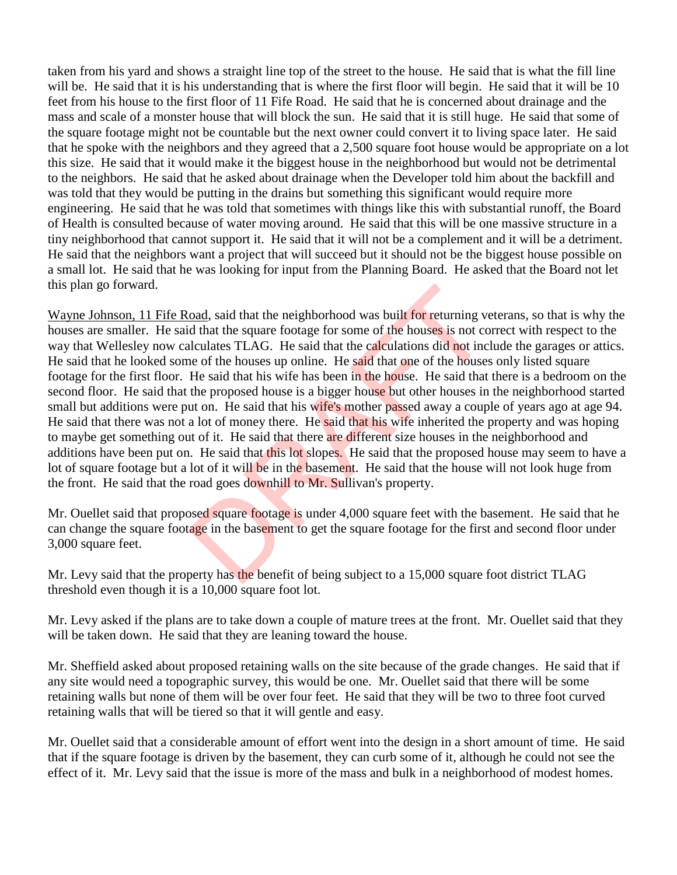taken from his yard and shows a straight line top of the street to the house. He said that is what the fill line will be. He said that it is his understanding that is where the first floor will begin. He said that it will be 10 feet from his house to the first floor of 11 Fife Road. He said that he is concerned about drainage and the mass and scale of a monster house that will block the sun. He said that it is still huge. He said that some of the square footage might not be countable but the next owner could convert it to living space later. He said that he spoke with the neighbors and they agreed that a 2,500 square foot house would be appropriate on a lot this size. He said that it would make it the biggest house in the neighborhood but would not be detrimental to the neighbors. He said that he asked about drainage when the Developer told him about the backfill and was told that they would be putting in the drains but something this significant would require more engineering. He said that he was told that sometimes with things like this with substantial runoff, the Board of Health is consulted because of water moving around. He said that this will be one massive structure in a tiny neighborhood that cannot support it. He said that it will not be a complement and it will be a detriment. He said that the neighbors want a project that will succeed but it should not be the biggest house possible on a small lot. He said that he was looking for input from the Planning Board. He asked that the Board not let this plan go forward.

Wayne Johnson, 11 Fife Road, said that the neighborhood was built for returning veterans, so that is why the houses are smaller. He said that the square footage for some of the houses is not correct with respect to the way that Wellesley now calculates TLAG. He said that the calculations did not include the garages or attics. He said that he looked some of the houses up online. He said that one of the houses only listed square footage for the first floor. He said that his wife has been in the house. He said that there is a bedroom on the second floor. He said that the proposed house is a bigger house but other houses in the neighborhood started small but additions were put on. He said that his wife's mother passed away a couple of years ago at age 94. He said that there was not a lot of money there. He said that his wife inherited the property and was hoping to maybe get something out of it. He said that there are different size houses in the neighborhood and additions have been put on. He said that this lot slopes. He said that the proposed house may seem to have a lot of square footage but a lot of it will be in the basement. He said that the house will not look huge from the front. He said that the road goes downhill to Mr. Sullivan's property. oad, said that the neighborhood was built for returning v<br>d that the square footage for some of the houses is not cc<br>liculates TLAG. He said that the calculations did not inc<br>ne of the houses up online. He said that one of

Mr. Ouellet said that proposed square footage is under 4,000 square feet with the basement. He said that he can change the square footage in the basement to get the square footage for the first and second floor under 3,000 square feet.

Mr. Levy said that the property has the benefit of being subject to a 15,000 square foot district TLAG threshold even though it is a 10,000 square foot lot.

Mr. Levy asked if the plans are to take down a couple of mature trees at the front. Mr. Ouellet said that they will be taken down. He said that they are leaning toward the house.

Mr. Sheffield asked about proposed retaining walls on the site because of the grade changes. He said that if any site would need a topographic survey, this would be one. Mr. Ouellet said that there will be some retaining walls but none of them will be over four feet. He said that they will be two to three foot curved retaining walls that will be tiered so that it will gentle and easy.

Mr. Ouellet said that a considerable amount of effort went into the design in a short amount of time. He said that if the square footage is driven by the basement, they can curb some of it, although he could not see the effect of it. Mr. Levy said that the issue is more of the mass and bulk in a neighborhood of modest homes.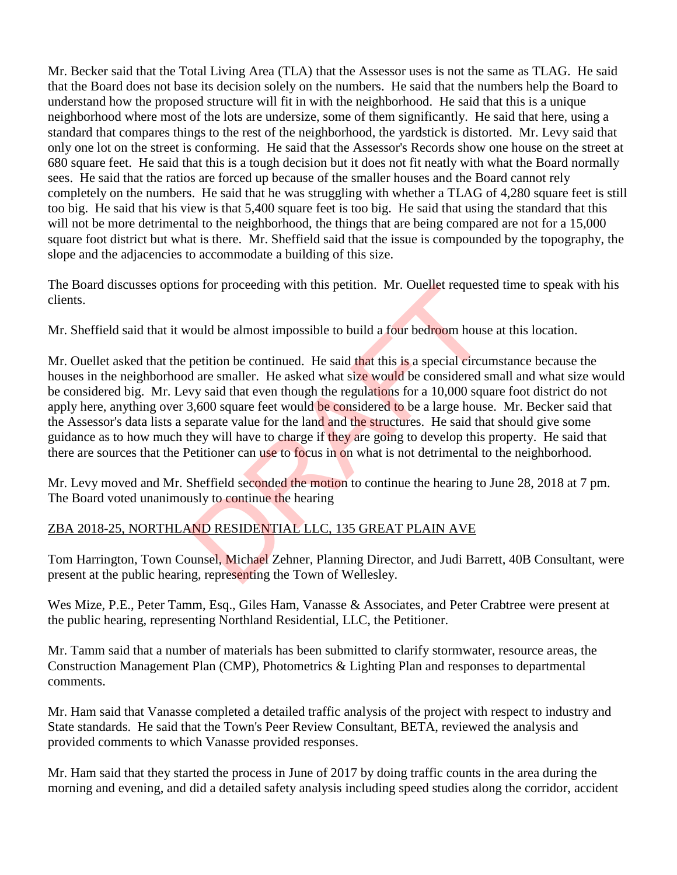Mr. Becker said that the Total Living Area (TLA) that the Assessor uses is not the same as TLAG. He said that the Board does not base its decision solely on the numbers. He said that the numbers help the Board to understand how the proposed structure will fit in with the neighborhood. He said that this is a unique neighborhood where most of the lots are undersize, some of them significantly. He said that here, using a standard that compares things to the rest of the neighborhood, the yardstick is distorted. Mr. Levy said that only one lot on the street is conforming. He said that the Assessor's Records show one house on the street at 680 square feet. He said that this is a tough decision but it does not fit neatly with what the Board normally sees. He said that the ratios are forced up because of the smaller houses and the Board cannot rely completely on the numbers. He said that he was struggling with whether a TLAG of 4,280 square feet is still too big. He said that his view is that 5,400 square feet is too big. He said that using the standard that this will not be more detrimental to the neighborhood, the things that are being compared are not for a 15,000 square foot district but what is there. Mr. Sheffield said that the issue is compounded by the topography, the slope and the adjacencies to accommodate a building of this size.

The Board discusses options for proceeding with this petition. Mr. Ouellet requested time to speak with his clients.

Mr. Sheffield said that it would be almost impossible to build a four bedroom house at this location.

Mr. Ouellet asked that the petition be continued. He said that this is a special circumstance because the houses in the neighborhood are smaller. He asked what size would be considered small and what size would be considered big. Mr. Levy said that even though the regulations for a 10,000 square foot district do not apply here, anything over 3,600 square feet would be considered to be a large house. Mr. Becker said that the Assessor's data lists a separate value for the land and the structures. He said that should give some guidance as to how much they will have to charge if they are going to develop this property. He said that there are sources that the Petitioner can use to focus in on what is not detrimental to the neighborhood. ns for proceeding with this petition. Mr. Ouellet requeste<br>vould be almost impossible to build a four bedroom house<br>petition be continued. He said that this is a special circui<br>d are smaller. He asked what size would be co

Mr. Levy moved and Mr. Sheffield seconded the motion to continue the hearing to June 28, 2018 at 7 pm. The Board voted unanimously to continue the hearing

## ZBA 2018-25, NORTHLAND RESIDENTIAL LLC, 135 GREAT PLAIN AVE

Tom Harrington, Town Counsel, Michael Zehner, Planning Director, and Judi Barrett, 40B Consultant, were present at the public hearing, representing the Town of Wellesley.

Wes Mize, P.E., Peter Tamm, Esq., Giles Ham, Vanasse & Associates, and Peter Crabtree were present at the public hearing, representing Northland Residential, LLC, the Petitioner.

Mr. Tamm said that a number of materials has been submitted to clarify stormwater, resource areas, the Construction Management Plan (CMP), Photometrics & Lighting Plan and responses to departmental comments.

Mr. Ham said that Vanasse completed a detailed traffic analysis of the project with respect to industry and State standards. He said that the Town's Peer Review Consultant, BETA, reviewed the analysis and provided comments to which Vanasse provided responses.

Mr. Ham said that they started the process in June of 2017 by doing traffic counts in the area during the morning and evening, and did a detailed safety analysis including speed studies along the corridor, accident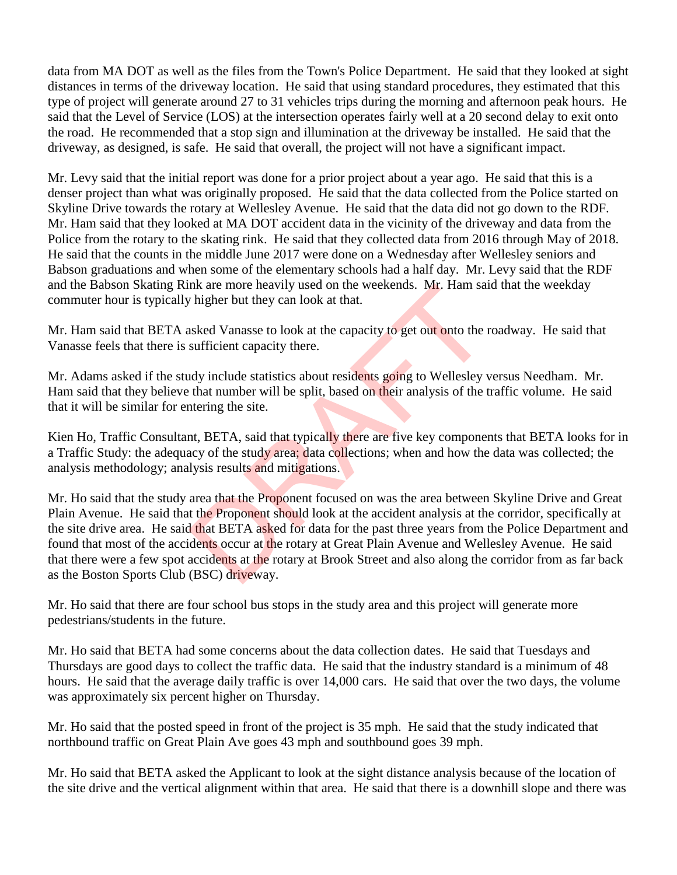data from MA DOT as well as the files from the Town's Police Department. He said that they looked at sight distances in terms of the driveway location. He said that using standard procedures, they estimated that this type of project will generate around 27 to 31 vehicles trips during the morning and afternoon peak hours. He said that the Level of Service (LOS) at the intersection operates fairly well at a 20 second delay to exit onto the road. He recommended that a stop sign and illumination at the driveway be installed. He said that the driveway, as designed, is safe. He said that overall, the project will not have a significant impact.

Mr. Levy said that the initial report was done for a prior project about a year ago. He said that this is a denser project than what was originally proposed. He said that the data collected from the Police started on Skyline Drive towards the rotary at Wellesley Avenue. He said that the data did not go down to the RDF. Mr. Ham said that they looked at MA DOT accident data in the vicinity of the driveway and data from the Police from the rotary to the skating rink. He said that they collected data from 2016 through May of 2018. He said that the counts in the middle June 2017 were done on a Wednesday after Wellesley seniors and Babson graduations and when some of the elementary schools had a half day. Mr. Levy said that the RDF and the Babson Skating Rink are more heavily used on the weekends. Mr. Ham said that the weekday commuter hour is typically higher but they can look at that.

Mr. Ham said that BETA asked Vanasse to look at the capacity to get out onto the roadway. He said that Vanasse feels that there is sufficient capacity there.

Mr. Adams asked if the study include statistics about residents going to Wellesley versus Needham. Mr. Ham said that they believe that number will be split, based on their analysis of the traffic volume. He said that it will be similar for entering the site.

Kien Ho, Traffic Consultant, BETA, said that typically there are five key components that BETA looks for in a Traffic Study: the adequacy of the study area; data collections; when and how the data was collected; the analysis methodology; analysis results and mitigations.

Mr. Ho said that the study area that the Proponent focused on was the area between Skyline Drive and Great Plain Avenue. He said that the Proponent should look at the accident analysis at the corridor, specifically at the site drive area. He said that BETA asked for data for the past three years from the Police Department and found that most of the accidents occur at the rotary at Great Plain Avenue and Wellesley Avenue. He said that there were a few spot accidents at the rotary at Brook Street and also along the corridor from as far back as the Boston Sports Club (BSC) driveway. nk are more neaviry used on the weekends. Mr. Ham sate higher but they can look at that.<br>
sked Vanasse to look at the capacity to get out onto the is<br>
sufficient capacity there.<br>
Indy include statistics about residents goi

Mr. Ho said that there are four school bus stops in the study area and this project will generate more pedestrians/students in the future.

Mr. Ho said that BETA had some concerns about the data collection dates. He said that Tuesdays and Thursdays are good days to collect the traffic data. He said that the industry standard is a minimum of 48 hours. He said that the average daily traffic is over 14,000 cars. He said that over the two days, the volume was approximately six percent higher on Thursday.

Mr. Ho said that the posted speed in front of the project is 35 mph. He said that the study indicated that northbound traffic on Great Plain Ave goes 43 mph and southbound goes 39 mph.

Mr. Ho said that BETA asked the Applicant to look at the sight distance analysis because of the location of the site drive and the vertical alignment within that area. He said that there is a downhill slope and there was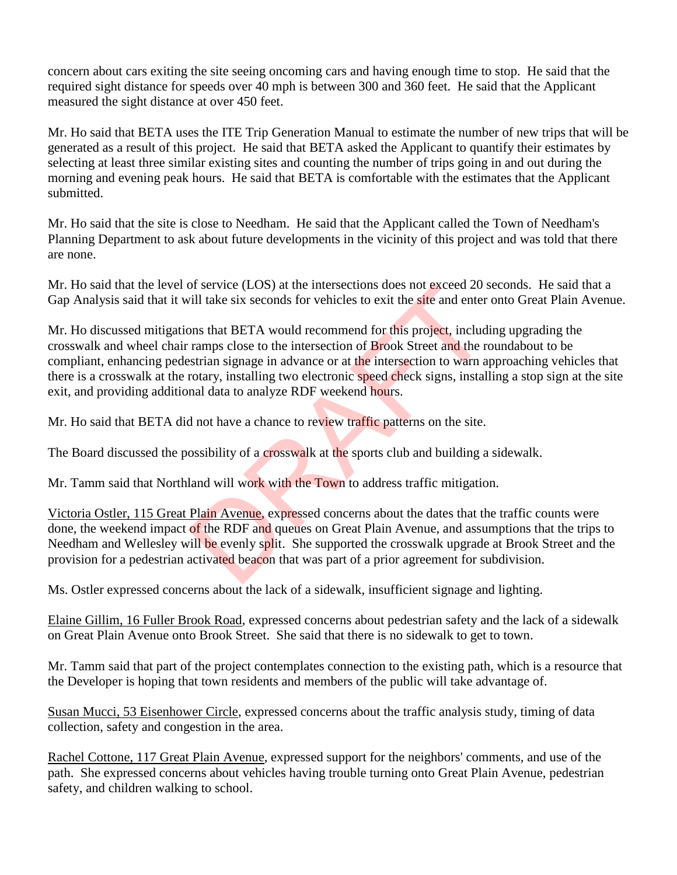concern about cars exiting the site seeing oncoming cars and having enough time to stop. He said that the required sight distance for speeds over 40 mph is between 300 and 360 feet. He said that the Applicant measured the sight distance at over 450 feet.

Mr. Ho said that BETA uses the ITE Trip Generation Manual to estimate the number of new trips that will be generated as a result of this project. He said that BETA asked the Applicant to quantify their estimates by selecting at least three similar existing sites and counting the number of trips going in and out during the morning and evening peak hours. He said that BETA is comfortable with the estimates that the Applicant submitted.

Mr. Ho said that the site is close to Needham. He said that the Applicant called the Town of Needham's Planning Department to ask about future developments in the vicinity of this project and was told that there are none.

Mr. Ho said that the level of service (LOS) at the intersections does not exceed 20 seconds. He said that a Gap Analysis said that it will take six seconds for vehicles to exit the site and enter onto Great Plain Avenue.

Mr. Ho discussed mitigations that BETA would recommend for this project, including upgrading the crosswalk and wheel chair ramps close to the intersection of Brook Street and the roundabout to be compliant, enhancing pedestrian signage in advance or at the intersection to warn approaching vehicles that there is a crosswalk at the rotary, installing two electronic speed check signs, installing a stop sign at the site exit, and providing additional data to analyze RDF weekend hours. or service (LOS) at the intersections does not exceed 20 s<br>ill take six seconds for vehicles to exit the **site** and enter<br>or shall take six seconds for vehicles to exit the **site** and enter<br>or shall ramps close to the inte

Mr. Ho said that BETA did not have a chance to review traffic patterns on the site.

The Board discussed the possibility of a crosswalk at the sports club and building a sidewalk.

Mr. Tamm said that Northland will work with the Town to address traffic mitigation.

Victoria Ostler, 115 Great Plain Avenue, expressed concerns about the dates that the traffic counts were done, the weekend impact of the RDF and queues on Great Plain Avenue, and assumptions that the trips to Needham and Wellesley will be evenly split. She supported the crosswalk upgrade at Brook Street and the provision for a pedestrian activated beacon that was part of a prior agreement for subdivision.

Ms. Ostler expressed concerns about the lack of a sidewalk, insufficient signage and lighting.

Elaine Gillim, 16 Fuller Brook Road, expressed concerns about pedestrian safety and the lack of a sidewalk on Great Plain Avenue onto Brook Street. She said that there is no sidewalk to get to town.

Mr. Tamm said that part of the project contemplates connection to the existing path, which is a resource that the Developer is hoping that town residents and members of the public will take advantage of.

Susan Mucci, 53 Eisenhower Circle, expressed concerns about the traffic analysis study, timing of data collection, safety and congestion in the area.

Rachel Cottone, 117 Great Plain Avenue, expressed support for the neighbors' comments, and use of the path. She expressed concerns about vehicles having trouble turning onto Great Plain Avenue, pedestrian safety, and children walking to school.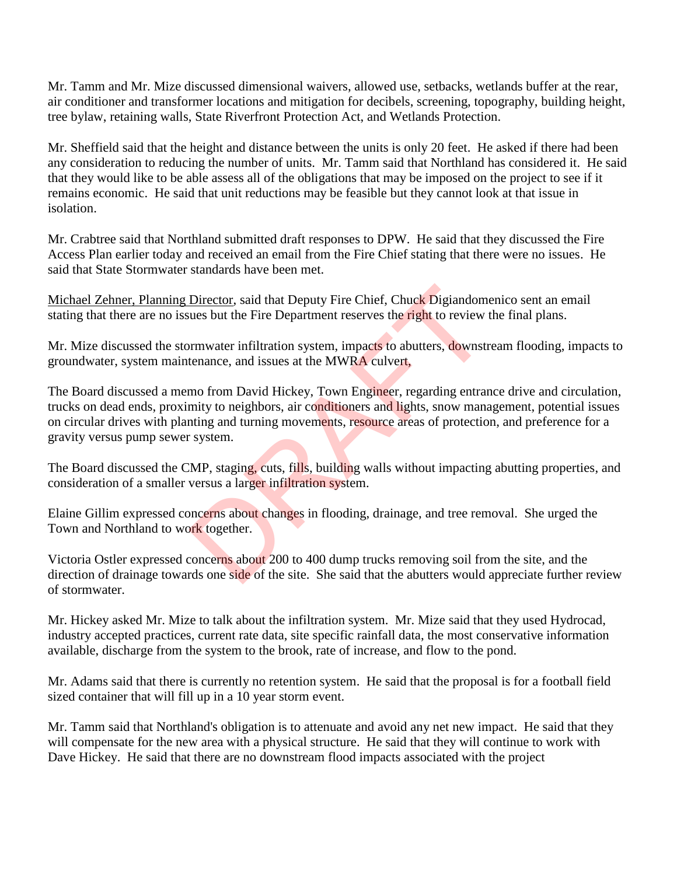Mr. Tamm and Mr. Mize discussed dimensional waivers, allowed use, setbacks, wetlands buffer at the rear, air conditioner and transformer locations and mitigation for decibels, screening, topography, building height, tree bylaw, retaining walls, State Riverfront Protection Act, and Wetlands Protection.

Mr. Sheffield said that the height and distance between the units is only 20 feet. He asked if there had been any consideration to reducing the number of units. Mr. Tamm said that Northland has considered it. He said that they would like to be able assess all of the obligations that may be imposed on the project to see if it remains economic. He said that unit reductions may be feasible but they cannot look at that issue in isolation.

Mr. Crabtree said that Northland submitted draft responses to DPW. He said that they discussed the Fire Access Plan earlier today and received an email from the Fire Chief stating that there were no issues. He said that State Stormwater standards have been met.

Michael Zehner, Planning Director, said that Deputy Fire Chief, Chuck Digiandomenico sent an email stating that there are no issues but the Fire Department reserves the right to review the final plans.

Mr. Mize discussed the stormwater infiltration system, impacts to abutters, downstream flooding, impacts to groundwater, system maintenance, and issues at the MWRA culvert,

The Board discussed a memo from David Hickey, Town Engineer, regarding entrance drive and circulation, trucks on dead ends, proximity to neighbors, air conditioners and lights, snow management, potential issues on circular drives with planting and turning movements, resource areas of protection, and preference for a gravity versus pump sewer system. Director, said that Deputy Fire Chief, Chuck Digiandom<br>
ues but the Fire Department reserves the **right** to review<br>
ormwater infiltration system, impacts to abutters, downstr<br>
tenance, and issues at the MWRA culvert,<br>
mo f

The Board discussed the CMP, staging, cuts, fills, building walls without impacting abutting properties, and consideration of a smaller versus a larger infiltration system.

Elaine Gillim expressed concerns about changes in flooding, drainage, and tree removal. She urged the Town and Northland to work together.

Victoria Ostler expressed concerns about 200 to 400 dump trucks removing soil from the site, and the direction of drainage towards one side of the site. She said that the abutters would appreciate further review of stormwater.

Mr. Hickey asked Mr. Mize to talk about the infiltration system. Mr. Mize said that they used Hydrocad, industry accepted practices, current rate data, site specific rainfall data, the most conservative information available, discharge from the system to the brook, rate of increase, and flow to the pond.

Mr. Adams said that there is currently no retention system. He said that the proposal is for a football field sized container that will fill up in a 10 year storm event.

Mr. Tamm said that Northland's obligation is to attenuate and avoid any net new impact. He said that they will compensate for the new area with a physical structure. He said that they will continue to work with Dave Hickey. He said that there are no downstream flood impacts associated with the project